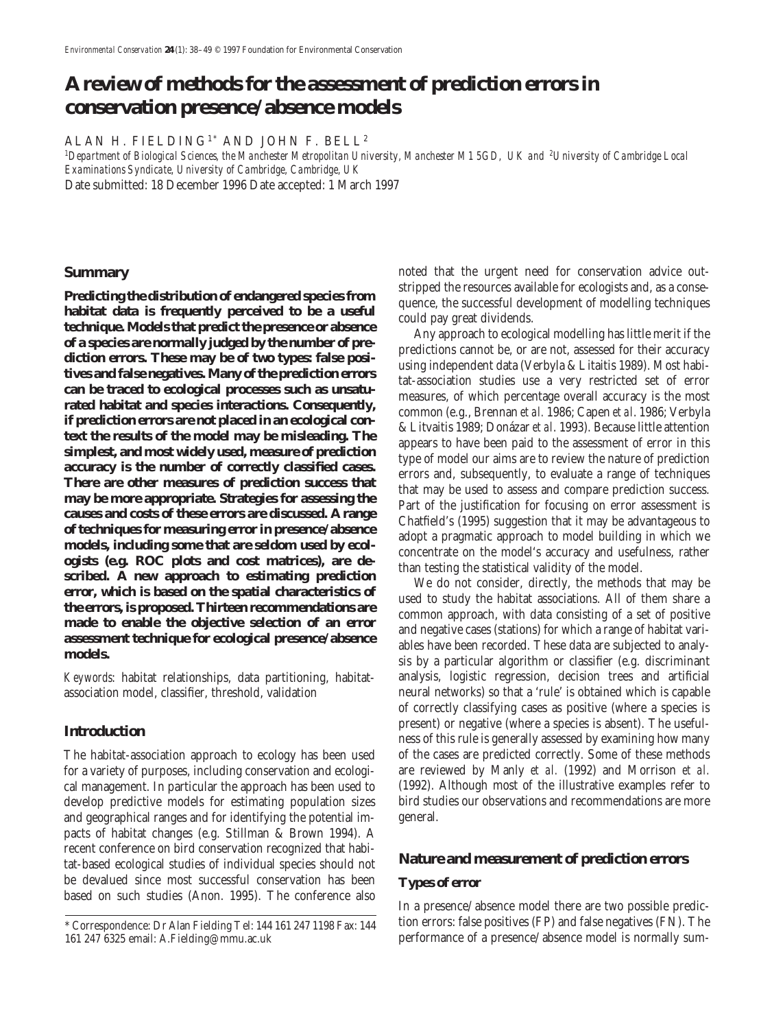# **A review of methods for the assessment of prediction errors in conservation presence/absence models**

ALAN H. FIELDING<sup>1\*</sup> AND JOHN F. BELL<sup>2</sup>

*1 Department of Biological Sciences, the Manchester Metropolitan University, Manchester M1 5GD, UK and 2 University of Cambridge Local Examinations Syndicate, University of Cambridge, Cambridge, UK*

Date submitted: 18 December 1996 Date accepted: 1 March 1997

#### **Summary**

**Predicting the distribution of endangered species from habitat data is frequently perceived to be a useful technique. Models that predict the presence or absence of a species are normally judged by the number of prediction errors. These may be of two types: false positives and false negatives. Many of the prediction errors can be traced to ecological processes such as unsaturated habitat and species interactions. Consequently, if prediction errors are not placed in an ecological context the results of the model may be misleading. The simplest, and most widely used, measure of prediction accuracy is the number of correctly classified cases. There are other measures of prediction success that may be more appropriate. Strategies for assessing the causes and costs of these errors are discussed. A range of techniques for measuring error in presence/absence models, including some that are seldom used by ecologists (e.g. ROC plots and cost matrices), are described. A new approach to estimating prediction error, which is based on the spatial characteristics of the errors, is proposed. Thirteen recommendations are made to enable the objective selection of an error assessment technique for ecological presence/absence models.**

*Keywords*: habitat relationships, data partitioning, habitatassociation model, classifier, threshold, validation

# **Introduction**

The habitat-association approach to ecology has been used for a variety of purposes, including conservation and ecological management. In particular the approach has been used to develop predictive models for estimating population sizes and geographical ranges and for identifying the potential impacts of habitat changes (e.g. Stillman & Brown 1994). A recent conference on bird conservation recognized that habitat-based ecological studies of individual species should not be devalued since most successful conservation has been based on such studies (Anon. 1995). The conference also noted that the urgent need for conservation advice outstripped the resources available for ecologists and, as a consequence, the successful development of modelling techniques could pay great dividends.

Any approach to ecological modelling has little merit if the predictions cannot be, or are not, assessed for their accuracy using independent data (Verbyla & Litaitis 1989). Most habitat-association studies use a very restricted set of error measures, of which percentage overall accuracy is the most common (e.g., Brennan *et al.* 1986; Capen *et al*. 1986; Verbyla & Litvaitis 1989; Donázar *et al*. 1993). Because little attention appears to have been paid to the assessment of error in this type of model our aims are to review the nature of prediction errors and, subsequently, to evaluate a range of techniques that may be used to assess and compare prediction success. Part of the justification for focusing on error assessment is Chatfield's (1995) suggestion that it may be advantageous to adopt a pragmatic approach to model building in which we concentrate on the model's accuracy and usefulness, rather than testing the statistical validity of the model.

We do not consider, directly, the methods that may be used to study the habitat associations. All of them share a common approach, with data consisting of a set of positive and negative cases (stations) for which a range of habitat variables have been recorded. These data are subjected to analysis by a particular algorithm or classifier (e.g. discriminant analysis, logistic regression, decision trees and artificial neural networks) so that a 'rule' is obtained which is capable of correctly classifying cases as positive (where a species is present) or negative (where a species is absent). The usefulness of this rule is generally assessed by examining how many of the cases are predicted correctly. Some of these methods are reviewed by Manly *et al.* (1992) and Morrison *et al.* (1992). Although most of the illustrative examples refer to bird studies our observations and recommendations are more general.

### **Nature and measurement of prediction errors**

#### **Types of error**

In a presence/absence model there are two possible prediction errors: false positives (FP) and false negatives (FN). The performance of a presence/absence model is normally sum-

<sup>\*</sup> Correspondence: Dr Alan Fielding Tel: 144 161 247 1198 Fax: 144 161 247 6325 email: A.Fielding@mmu.ac.uk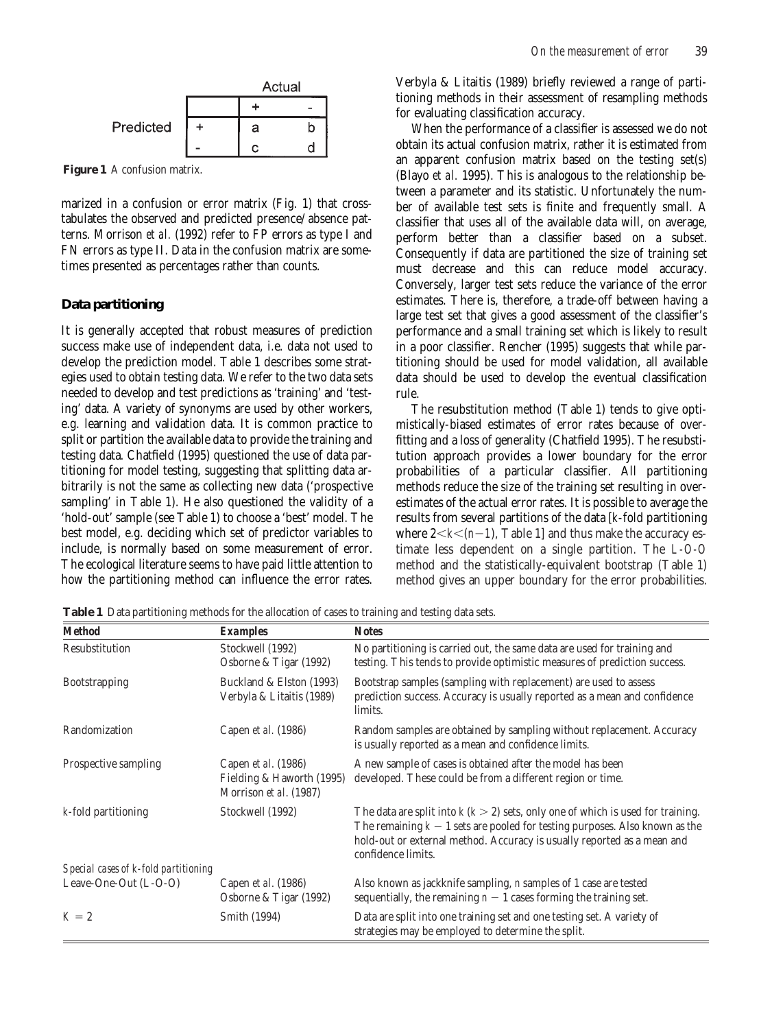

**Figure 1** A confusion matrix.

marized in a confusion or error matrix (Fig. 1) that crosstabulates the observed and predicted presence/absence patterns. Morrison *et al.* (1992) refer to FP errors as type I and FN errors as type II. Data in the confusion matrix are sometimes presented as percentages rather than counts.

### **Data partitioning**

It is generally accepted that robust measures of prediction success make use of independent data, i.e. data not used to develop the prediction model. Table 1 describes some strategies used to obtain testing data. We refer to the two data sets needed to develop and test predictions as 'training' and 'testing' data. A variety of synonyms are used by other workers, e.g. learning and validation data. It is common practice to split or partition the available data to provide the training and testing data. Chatfield (1995) questioned the use of data partitioning for model testing, suggesting that splitting data arbitrarily is not the same as collecting new data ('prospective sampling' in Table 1). He also questioned the validity of a 'hold-out' sample (see Table 1) to choose a 'best' model. The best model, e.g. deciding which set of predictor variables to include, is normally based on some measurement of error. The ecological literature seems to have paid little attention to how the partitioning method can influence the error rates.

Verbyla & Litaitis (1989) briefly reviewed a range of partitioning methods in their assessment of resampling methods for evaluating classification accuracy.

When the performance of a classifier is assessed we do not obtain its actual confusion matrix, rather it is estimated from an apparent confusion matrix based on the testing set(s) (Blayo *et al.* 1995). This is analogous to the relationship between a parameter and its statistic. Unfortunately the number of available test sets is finite and frequently small. A classifier that uses all of the available data will, on average, perform better than a classifier based on a subset. Consequently if data are partitioned the size of training set must decrease and this can reduce model accuracy. Conversely, larger test sets reduce the variance of the error estimates. There is, therefore, a trade-off between having a large test set that gives a good assessment of the classifier's performance and a small training set which is likely to result in a poor classifier. Rencher (1995) suggests that while partitioning should be used for model validation, all available data should be used to develop the eventual classification rule.

The resubstitution method (Table 1) tends to give optimistically-biased estimates of error rates because of overfitting and a loss of generality (Chatfield 1995). The resubstitution approach provides a lower boundary for the error probabilities of a particular classifier. All partitioning methods reduce the size of the training set resulting in overestimates of the actual error rates. It is possible to average the results from several partitions of the data [*k*-fold partitioning where  $2 < k < (n-1)$ , Table 1] and thus make the accuracy estimate less dependent on a single partition. The *L-O-O* method and the statistically-equivalent bootstrap (Table 1) method gives an upper boundary for the error probabilities.

**Table 1** Data partitioning methods for the allocation of cases to training and testing data sets.

| <b>Method</b>                        | <b>Examples</b>                                                                   | <b>Notes</b>                                                                                                                                                                                                                                                      |
|--------------------------------------|-----------------------------------------------------------------------------------|-------------------------------------------------------------------------------------------------------------------------------------------------------------------------------------------------------------------------------------------------------------------|
| <b>Resubstitution</b>                | Stockwell (1992)<br>Osborne & Tigar (1992)                                        | No partitioning is carried out, the same data are used for training and<br>testing. This tends to provide optimistic measures of prediction success.                                                                                                              |
| <b>Bootstrapping</b>                 | Buckland & Elston (1993)<br>Verbyla & Litaitis (1989)                             | Bootstrap samples (sampling with replacement) are used to assess<br>prediction success. Accuracy is usually reported as a mean and confidence<br>limits.                                                                                                          |
| Randomization                        | Capen <i>et al.</i> (1986)                                                        | Random samples are obtained by sampling without replacement. Accuracy<br>is usually reported as a mean and confidence limits.                                                                                                                                     |
| <b>Prospective sampling</b>          | Capen <i>et al.</i> (1986)<br>Fielding & Haworth (1995)<br>Morrison et al. (1987) | A new sample of cases is obtained after the model has been<br>developed. These could be from a different region or time.                                                                                                                                          |
| k-fold partitioning                  | Stockwell (1992)                                                                  | The data are split into $k (k > 2)$ sets, only one of which is used for training.<br>The remaining $k-1$ sets are pooled for testing purposes. Also known as the<br>hold-out or external method. Accuracy is usually reported as a mean and<br>confidence limits. |
| Special cases of k-fold partitioning |                                                                                   |                                                                                                                                                                                                                                                                   |
| Leave-One-Out (L-O-O)                | Capen <i>et al.</i> (1986)<br>Osborne & Tigar (1992)                              | Also known as jackknife sampling, <i>n</i> samples of 1 case are tested<br>sequentially, the remaining $n-1$ cases forming the training set.                                                                                                                      |
| $K = 2$                              | Smith (1994)                                                                      | Data are split into one training set and one testing set. A variety of<br>strategies may be employed to determine the split.                                                                                                                                      |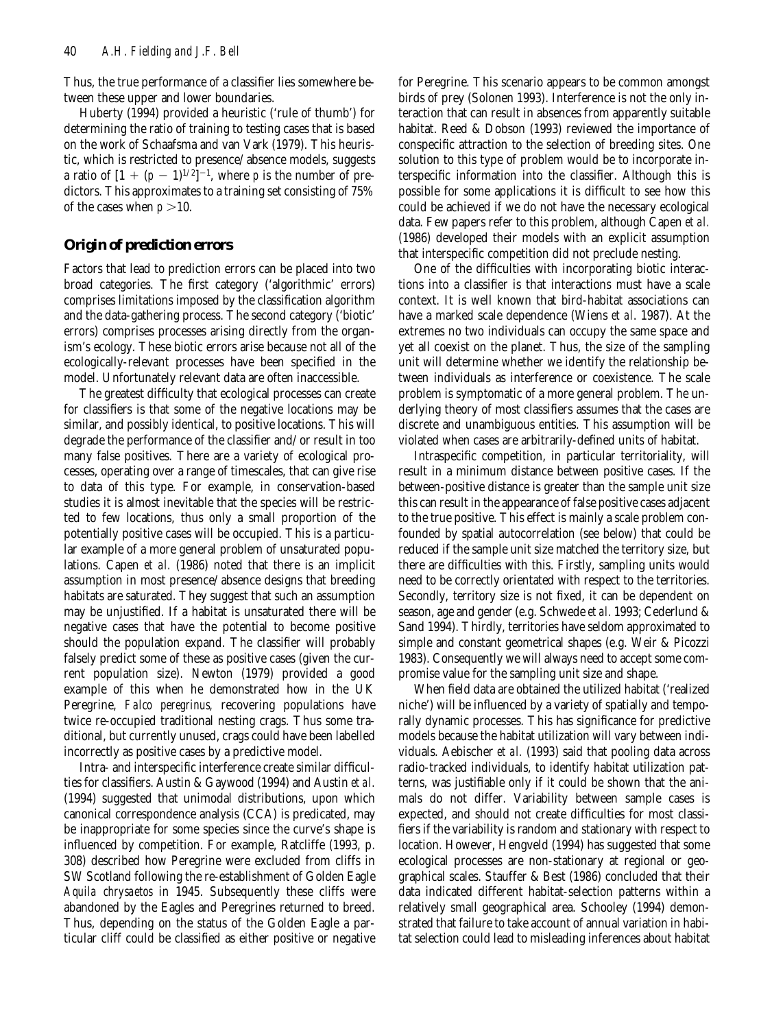Thus, the true performance of a classifier lies somewhere between these upper and lower boundaries.

Huberty (1994) provided a heuristic ('rule of thumb') for determining the ratio of training to testing cases that is based on the work of Schaafsma and van Vark (1979). This heuristic, which is restricted to presence/absence models, suggests a ratio of  $[1 + (p-1)^{1/2}]^{-1}$ , where p is the number of predictors. This approximates to a training set consisting of 75% of the cases when  $p > 10$ .

# **Origin of prediction errors**

Factors that lead to prediction errors can be placed into two broad categories. The first category ('algorithmic' errors) comprises limitations imposed by the classification algorithm and the data-gathering process. The second category ('biotic' errors) comprises processes arising directly from the organism's ecology. These biotic errors arise because not all of the ecologically-relevant processes have been specified in the model. Unfortunately relevant data are often inaccessible.

The greatest difficulty that ecological processes can create for classifiers is that some of the negative locations may be similar, and possibly identical, to positive locations. This will degrade the performance of the classifier and/or result in too many false positives. There are a variety of ecological processes, operating over a range of timescales, that can give rise to data of this type. For example, in conservation-based studies it is almost inevitable that the species will be restricted to few locations, thus only a small proportion of the potentially positive cases will be occupied. This is a particular example of a more general problem of unsaturated populations. Capen *et al.* (1986) noted that there is an implicit assumption in most presence/absence designs that breeding habitats are saturated. They suggest that such an assumption may be unjustified. If a habitat is unsaturated there will be negative cases that have the potential to become positive should the population expand. The classifier will probably falsely predict some of these as positive cases (given the current population size). Newton (1979) provided a good example of this when he demonstrated how in the UK Peregrine, *Falco peregrinus,* recovering populations have twice re-occupied traditional nesting crags. Thus some traditional, but currently unused, crags could have been labelled incorrectly as positive cases by a predictive model.

Intra- and interspecific interference create similar difficulties for classifiers. Austin & Gaywood (1994) and Austin *et al.* (1994) suggested that unimodal distributions, upon which canonical correspondence analysis (CCA) is predicated, may be inappropriate for some species since the curve's shape is influenced by competition. For example, Ratcliffe (1993, p. 308) described how Peregrine were excluded from cliffs in SW Scotland following the re-establishment of Golden Eagle *Aquila chrysaetos* in 1945. Subsequently these cliffs were abandoned by the Eagles and Peregrines returned to breed. Thus, depending on the status of the Golden Eagle a particular cliff could be classified as either positive or negative for Peregrine. This scenario appears to be common amongst birds of prey (Solonen 1993). Interference is not the only interaction that can result in absences from apparently suitable habitat. Reed & Dobson (1993) reviewed the importance of conspecific attraction to the selection of breeding sites. One solution to this type of problem would be to incorporate interspecific information into the classifier. Although this is possible for some applications it is difficult to see how this could be achieved if we do not have the necessary ecological data. Few papers refer to this problem, although Capen *et al.* (1986) developed their models with an explicit assumption that interspecific competition did not preclude nesting.

One of the difficulties with incorporating biotic interactions into a classifier is that interactions must have a scale context. It is well known that bird-habitat associations can have a marked scale dependence (Wiens *et al*. 1987). At the extremes no two individuals can occupy the same space and yet all coexist on the planet. Thus, the size of the sampling unit will determine whether we identify the relationship between individuals as interference or coexistence. The scale problem is symptomatic of a more general problem. The underlying theory of most classifiers assumes that the cases are discrete and unambiguous entities. This assumption will be violated when cases are arbitrarily-defined units of habitat.

Intraspecific competition, in particular territoriality, will result in a minimum distance between positive cases. If the between-positive distance is greater than the sample unit size this can result in the appearance of false positive cases adjacent to the true positive. This effect is mainly a scale problem confounded by spatial autocorrelation (see below) that could be reduced if the sample unit size matched the territory size, but there are difficulties with this. Firstly, sampling units would need to be correctly orientated with respect to the territories. Secondly, territory size is not fixed, it can be dependent on season, age and gender (e.g. Schwede *et al.* 1993; Cederlund & Sand 1994). Thirdly, territories have seldom approximated to simple and constant geometrical shapes (e.g. Weir & Picozzi 1983). Consequently we will always need to accept some compromise value for the sampling unit size and shape.

When field data are obtained the utilized habitat ('realized niche') will be influenced by a variety of spatially and temporally dynamic processes. This has significance for predictive models because the habitat utilization will vary between individuals. Aebischer *et al.* (1993) said that pooling data across radio-tracked individuals, to identify habitat utilization patterns, was justifiable only if it could be shown that the animals do not differ. Variability between sample cases is expected, and should not create difficulties for most classifiers if the variability is random and stationary with respect to location. However, Hengveld (1994) has suggested that some ecological processes are non-stationary at regional or geographical scales. Stauffer & Best (1986) concluded that their data indicated different habitat-selection patterns within a relatively small geographical area. Schooley (1994) demonstrated that failure to take account of annual variation in habitat selection could lead to misleading inferences about habitat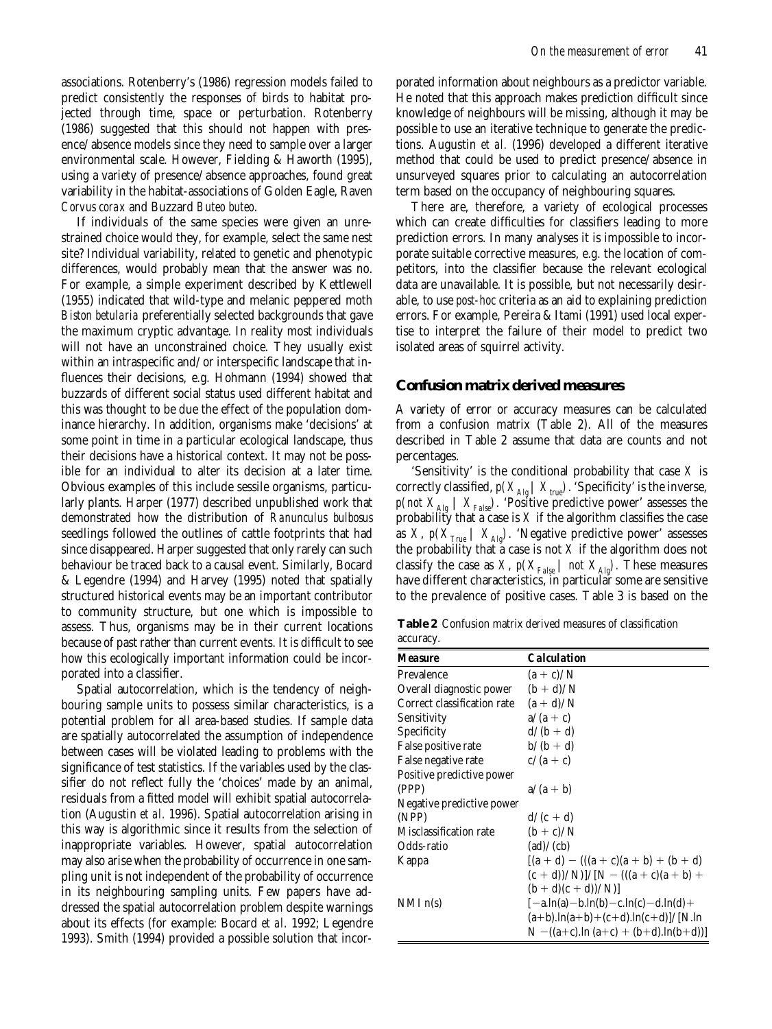associations. Rotenberry's (1986) regression models failed to predict consistently the responses of birds to habitat projected through time, space or perturbation. Rotenberry (1986) suggested that this should not happen with presence/absence models since they need to sample over a larger environmental scale. However, Fielding & Haworth (1995), using a variety of presence/absence approaches, found great variability in the habitat-associations of Golden Eagle, Raven *Corvus corax* and Buzzard *Buteo buteo*.

If individuals of the same species were given an unrestrained choice would they, for example, select the same nest site? Individual variability, related to genetic and phenotypic differences, would probably mean that the answer was no. For example, a simple experiment described by Kettlewell (1955) indicated that wild-type and melanic peppered moth *Biston betularia* preferentially selected backgrounds that gave the maximum cryptic advantage. In reality most individuals will not have an unconstrained choice. They usually exist within an intraspecific and/or interspecific landscape that influences their decisions, e.g. Hohmann (1994) showed that buzzards of different social status used different habitat and this was thought to be due the effect of the population dominance hierarchy. In addition, organisms make 'decisions' at some point in time in a particular ecological landscape, thus their decisions have a historical context. It may not be possible for an individual to alter its decision at a later time. Obvious examples of this include sessile organisms, particularly plants. Harper (1977) described unpublished work that demonstrated how the distribution of *Ranunculus bulbosus* seedlings followed the outlines of cattle footprints that had since disappeared. Harper suggested that only rarely can such behaviour be traced back to a causal event. Similarly, Bocard & Legendre (1994) and Harvey (1995) noted that spatially structured historical events may be an important contributor to community structure, but one which is impossible to assess. Thus, organisms may be in their current locations because of past rather than current events. It is difficult to see how this ecologically important information could be incorporated into a classifier.

Spatial autocorrelation, which is the tendency of neighbouring sample units to possess similar characteristics, is a potential problem for all area-based studies. If sample data are spatially autocorrelated the assumption of independence between cases will be violated leading to problems with the significance of test statistics. If the variables used by the classifier do not reflect fully the 'choices' made by an animal, residuals from a fitted model will exhibit spatial autocorrelation (Augustin *et al.* 1996). Spatial autocorrelation arising in this way is algorithmic since it results from the selection of inappropriate variables. However, spatial autocorrelation may also arise when the probability of occurrence in one sampling unit is not independent of the probability of occurrence in its neighbouring sampling units. Few papers have addressed the spatial autocorrelation problem despite warnings about its effects (for example: Bocard *et al*. 1992; Legendre 1993). Smith (1994) provided a possible solution that incorporated information about neighbours as a predictor variable. He noted that this approach makes prediction difficult since knowledge of neighbours will be missing, although it may be possible to use an iterative technique to generate the predictions. Augustin *et al.* (1996) developed a different iterative method that could be used to predict presence/absence in unsurveyed squares prior to calculating an autocorrelation term based on the occupancy of neighbouring squares.

There are, therefore, a variety of ecological processes which can create difficulties for classifiers leading to more prediction errors. In many analyses it is impossible to incorporate suitable corrective measures, e.g. the location of competitors, into the classifier because the relevant ecological data are unavailable. It is possible, but not necessarily desirable, to use *post-hoc* criteria as an aid to explaining prediction errors. For example, Pereira & Itami (1991) used local expertise to interpret the failure of their model to predict two isolated areas of squirrel activity.

### **Confusion matrix derived measures**

A variety of error or accuracy measures can be calculated from a confusion matrix (Table 2). All of the measures described in Table 2 assume that data are counts and not percentages.

'Sensitivity' is the conditional probability that case *X* is correctly classified,  $p(X_{\!} \mid X_{\mathit{true}})$ . 'Specificity' is the inverse, *p(not*  $X_{Alg} \mid X_{False}$ *).* 'Positive predictive power' assesses the probability that a case is  $X$  if the algorithm classifies the case as *X*,  $p(X_{True} | X_{Alg})$ . 'Negative predictive power' assesses the probability that a case is not  $X$  if the algorithm does not classify the case as *X*,  $p(X_{False} | not X_{Ale})$ . These measures have different characteristics, in particular some are sensitive to the prevalence of positive cases. Table 3 is based on the

**Table 2** Confusion matrix derived measures of classification accuracy.

| $\frac{1}{2}$<br><i>Measure</i> | Calculation                                   |
|---------------------------------|-----------------------------------------------|
| Prevalence                      | $(a + c)/N$                                   |
| Overall diagnostic power        | $(b + d)/N$                                   |
| Correct classification rate     | $(a + d)/N$                                   |
| <b>Sensitivity</b>              | $a/(a + c)$                                   |
| <b>Specificity</b>              | $d/(b + d)$                                   |
| False positive rate             | $b/(b + d)$                                   |
| False negative rate             | $c/(a + c)$                                   |
| Positive predictive power       |                                               |
| (PPP)                           | $a/(a + b)$                                   |
| Negative predictive power       |                                               |
| (NPP)                           | $d/(c + d)$                                   |
| <b>Misclassification rate</b>   | $(b + c)/N$                                   |
| Odds-ratio                      | (ad)/(cb)                                     |
| Kappa                           | $[(a + d) - ((a + c)(a + b) + (b + d))$       |
|                                 | $(c + d)/N$ ]/[N – $(((a + c)(a + b) +$       |
|                                 | $(b + d)(c + d)/N$                            |
| $NMI$ n(s)                      | $[-a, \ln(a)-b, \ln(b)-c, \ln(c)-d, \ln(d) +$ |
|                                 | $(a+b)$ .ln $(a+b)+(c+d)$ .ln $(c+d)/[N]$ .ln |
|                                 | $N - ((a+c).ln (a+c) + (b+d).ln(b+d))$        |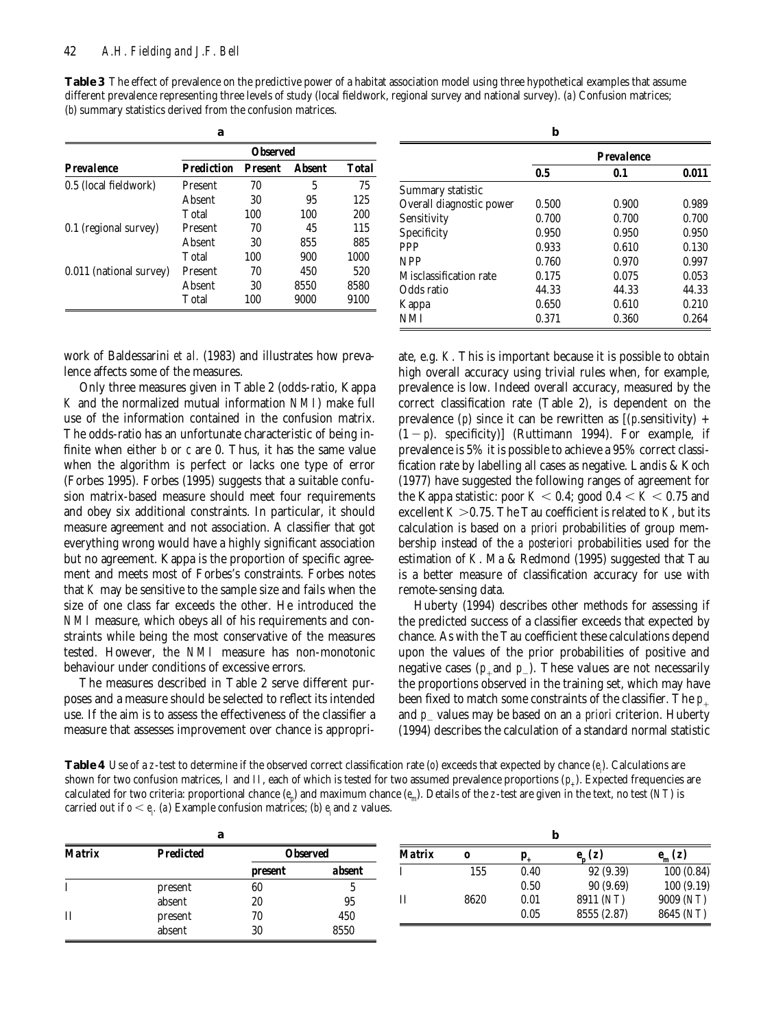**Table 3** The effect of prevalence on the predictive power of a habitat association model using three hypothetical examples that assume different prevalence representing three levels of study (local fieldwork, regional survey and national survey). (*a*) Confusion matrices; (*b*) summary statistics derived from the confusion matrices.

|                         | a                 |                |               |       |  |  |  |
|-------------------------|-------------------|----------------|---------------|-------|--|--|--|
|                         | <b>Observed</b>   |                |               |       |  |  |  |
| <b>Prevalence</b>       | <b>Prediction</b> | <b>Present</b> | <b>Absent</b> | Total |  |  |  |
| 0.5 (local fieldwork)   | <b>Present</b>    | 70             | 5             | 75    |  |  |  |
|                         | Absent            | 30             | 95            | 125   |  |  |  |
|                         | Total             | 100            | 100           | 200   |  |  |  |
| 0.1 (regional survey)   | <b>Present</b>    | 70             | 45            | 115   |  |  |  |
|                         | Absent            | 30             | 855           | 885   |  |  |  |
|                         | Total             | 100            | 900           | 1000  |  |  |  |
| 0.011 (national survey) | Present           | 70             | 450           | 520   |  |  |  |
|                         | Absent            | 30             | 8550          | 8580  |  |  |  |
|                         | Total             | 100            | 9000          | 9100  |  |  |  |

work of Baldessarini *et al.* (1983) and illustrates how prevalence affects some of the measures.

Only three measures given in Table 2 (odds-ratio, Kappa *K* and the normalized mutual information *NMI*) make full use of the information contained in the confusion matrix. The odds-ratio has an unfortunate characteristic of being infinite when either *b* or *c* are 0. Thus, it has the same value when the algorithm is perfect or lacks one type of error (Forbes 1995). Forbes (1995) suggests that a suitable confusion matrix-based measure should meet four requirements and obey six additional constraints. In particular, it should measure agreement and not association. A classifier that got everything wrong would have a highly significant association but no agreement. Kappa is the proportion of specific agreement and meets most of Forbes's constraints. Forbes notes that *K* may be sensitive to the sample size and fails when the size of one class far exceeds the other. He introduced the *NMI* measure, which obeys all of his requirements and constraints while being the most conservative of the measures tested. However, the *NMI* measure has non-monotonic behaviour under conditions of excessive errors.

The measures described in Table 2 serve different purposes and a measure should be selected to reflect its intended use. If the aim is to assess the effectiveness of the classifier a measure that assesses improvement over chance is appropri-

|                          | b     |                   |       |
|--------------------------|-------|-------------------|-------|
|                          |       | <b>Prevalence</b> |       |
|                          | 0.5   | 0.1               | 0.011 |
| Summary statistic        |       |                   |       |
| Overall diagnostic power | 0.500 | 0.900             | 0.989 |
| Sensitivity              | 0.700 | 0.700             | 0.700 |
| Specificity              | 0.950 | 0.950             | 0.950 |
| PPP                      | 0.933 | 0.610             | 0.130 |
| NPP                      | 0.760 | 0.970             | 0.997 |
| Misclassification rate   | 0.175 | 0.075             | 0.053 |
| Odds ratio               | 44.33 | 44.33             | 44.33 |
| Kappa                    | 0.650 | 0.610             | 0.210 |
| NMI                      | 0.371 | 0.360             | 0.264 |

ate, e.g. *K*. This is important because it is possible to obtain high overall accuracy using trivial rules when, for example, prevalence is low. Indeed overall accuracy, measured by the correct classification rate (Table 2), is dependent on the prevalence (*p*) since it can be rewritten as  $[(p \cdot s \cdot \text{resitivity}) +$  $(1 - p)$ . specificity)] (Ruttimann 1994). For example, if prevalence is 5% it is possible to achieve a 95% correct classification rate by labelling all cases as negative. Landis & Koch (1977) have suggested the following ranges of agreement for the Kappa statistic: poor  $K < 0.4$ ; good  $0.4 < K < 0.75$  and excellent  $K > 0.75$ . The Tau coefficient is related to *K*, but its calculation is based on *a priori* probabilities of group membership instead of the *a posteriori* probabilities used for the estimation of *K*. Ma & Redmond (1995) suggested that Tau is a better measure of classification accuracy for use with remote-sensing data.

Huberty (1994) describes other methods for assessing if the predicted success of a classifier exceeds that expected by chance. As with the Tau coefficient these calculations depend upon the values of the prior probabilities of positive and negative cases  $(p_1 \text{ and } p_2)$ . These values are not necessarily the proportions observed in the training set, which may have been fixed to match some constraints of the classifier. The  $p_+$ and  $p_{\perp}$  values may be based on an *a priori* criterion. Huberty (1994) describes the calculation of a standard normal statistic

**Table 4** Use of a *z*-test to determine if the observed correct classification rate (*o*) exceeds that expected by chance (*ei* ). Calculations are shown for two confusion matrices, *I* and *II*, each of which is tested for two assumed prevalence proportions ( $p<sub>i</sub>$ ). Expected frequencies are calculated for two criteria: proportional chance (*e<sub>p</sub>*) and maximum chance (*e<sub>n</sub>*). Details of the *z*-test are given in the text, no test (*NT*) is carried out if  $o < e_r$  (*a*) Example confusion matrices; (*b*)  $e_i$  and *z* values.

| <b>Matrix</b> | <b>Predicted</b> | <i><b>Observed</b></i> |        | <b>Matrix</b> | 0    | $\boldsymbol{\theta}_+$ | $e_{n}(z)$  | $e_m(z)$  |
|---------------|------------------|------------------------|--------|---------------|------|-------------------------|-------------|-----------|
|               |                  | present                | absent |               | 155  | 0.40                    | 92(9.39)    | 100(0.84) |
|               | present          | 60                     |        |               |      | 0.50                    | 90(9.69)    | 100(9.19) |
|               | absent           | 20                     | 95     | П             | 8620 | 0.01                    | 8911(NT)    | 9009 (NT) |
| II            | present          | 70                     | 450    |               |      | 0.05                    | 8555 (2.87) | 8645 (NT) |
|               | absent           | 30                     | 8550   |               |      |                         |             |           |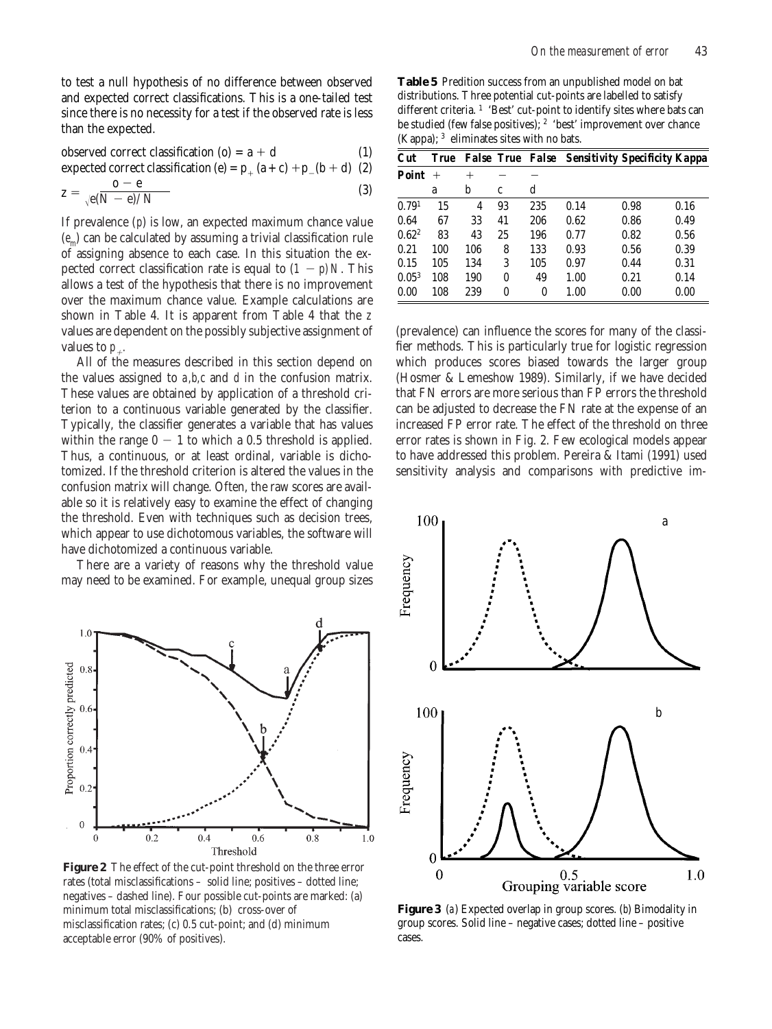to test a null hypothesis of no difference between observed and expected correct classifications. This is a one-tailed test since there is no necessity for a test if the observed rate is less than the expected.

observed correct classification (o) = 
$$
a + d
$$
 (1)

expected correct classification (e) =  $p_+ (a + c) + p_-(b + d)$  (2)

$$
z = \frac{0 - e}{\sqrt{e(N - e)/N}}
$$
 (3)

If prevalence (*p*) is low, an expected maximum chance value (*em*) can be calculated by assuming a trivial classification rule of assigning absence to each case. In this situation the expected correct classification rate is equal to  $(1 - p)N$ . This allows a test of the hypothesis that there is no improvement over the maximum chance value. Example calculations are shown in Table 4. It is apparent from Table 4 that the *z* values are dependent on the possibly subjective assignment of values to  $p_1$ .

All of the measures described in this section depend on the values assigned to *a,b,c* and *d* in the confusion matrix. These values are obtained by application of a threshold criterion to a continuous variable generated by the classifier. Typically, the classifier generates a variable that has values within the range  $0 - 1$  to which a 0.5 threshold is applied. Thus, a continuous, or at least ordinal, variable is dichotomized. If the threshold criterion is altered the values in the confusion matrix will change. Often, the raw scores are available so it is relatively easy to examine the effect of changing the threshold. Even with techniques such as decision trees, which appear to use dichotomous variables, the software will have dichotomized a continuous variable.

There are a variety of reasons why the threshold value may need to be examined. For example, unequal group sizes



**Figure 2** The effect of the cut-point threshold on the three error rates (total misclassifications – solid line; positives – dotted line; negatives – dashed line). Four possible cut-points are marked: (a) minimum total misclassifications; (b) cross-over of misclassification rates; (c) 0.5 cut-point; and (d) minimum acceptable error (90% of positives).

**Table 5** Predition success from an unpublished model on bat distributions. Three potential cut-points are labelled to satisfy different criteria.<sup>1</sup> 'Best' cut-point to identify sites where bats can be studied (few false positives); <sup>2</sup> 'best' improvement over chance (Kappa); 3 eliminates sites with no bats.

| Cut        | <b>True</b> |      |    |     | False True False Sensitivity Specificity Kappa |      |      |
|------------|-------------|------|----|-----|------------------------------------------------|------|------|
| Point      | $^{+}$      | $^+$ |    |     |                                                |      |      |
|            | a           | b    | C  | d   |                                                |      |      |
| 0.791      | 15          | 4    | 93 | 235 | 0.14                                           | 0.98 | 0.16 |
| 0.64       | 67          | 33   | 41 | 206 | 0.62                                           | 0.86 | 0.49 |
| $0.62^2$   | 83          | 43   | 25 | 196 | 0.77                                           | 0.82 | 0.56 |
| 0.21       | 100         | 106  | 8  | 133 | 0.93                                           | 0.56 | 0.39 |
| 0.15       | 105         | 134  | 3  | 105 | 0.97                                           | 0.44 | 0.31 |
| $0.05^{3}$ | 108         | 190  | 0  | 49  | 1.00                                           | 0.21 | 0.14 |
| 0.00       | 108         | 239  | 0  | 0   | 1.00                                           | 0.00 | 0.00 |

(prevalence) can influence the scores for many of the classifier methods. This is particularly true for logistic regression which produces scores biased towards the larger group (Hosmer & Lemeshow 1989). Similarly, if we have decided that FN errors are more serious than FP errors the threshold can be adjusted to decrease the FN rate at the expense of an increased FP error rate. The effect of the threshold on three error rates is shown in Fig. 2. Few ecological models appear to have addressed this problem. Pereira & Itami (1991) used sensitivity analysis and comparisons with predictive im-



**Figure 3** (*a*) Expected overlap in group scores. (*b*) Bimodality in group scores. Solid line – negative cases; dotted line – positive cases.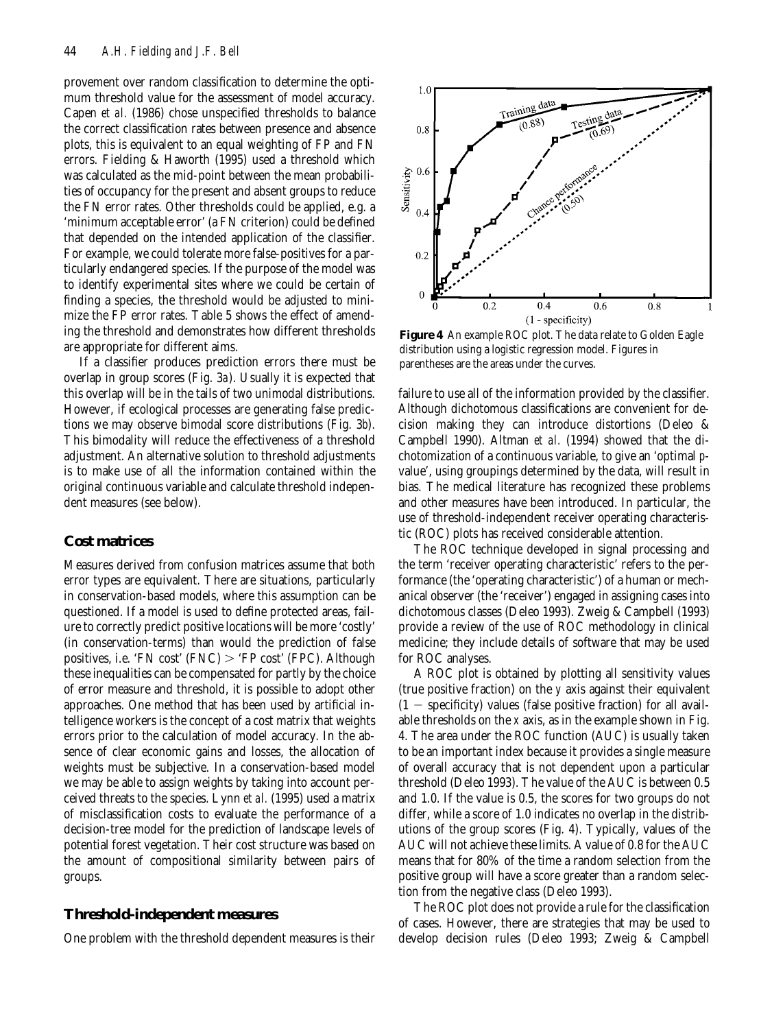provement over random classification to determine the optimum threshold value for the assessment of model accuracy. Capen *et al.* (1986) chose unspecified thresholds to balance the correct classification rates between presence and absence plots, this is equivalent to an equal weighting of FP and FN errors. Fielding & Haworth (1995) used a threshold which was calculated as the mid-point between the mean probabilities of occupancy for the present and absent groups to reduce the FN error rates. Other thresholds could be applied, e.g. a 'minimum acceptable error' (a FN criterion) could be defined that depended on the intended application of the classifier. For example, we could tolerate more false-positives for a particularly endangered species. If the purpose of the model was to identify experimental sites where we could be certain of finding a species, the threshold would be adjusted to minimize the FP error rates. Table 5 shows the effect of amending the threshold and demonstrates how different thresholds are appropriate for different aims.

If a classifier produces prediction errors there must be overlap in group scores (Fig. 3*a*). Usually it is expected that this overlap will be in the tails of two unimodal distributions. However, if ecological processes are generating false predictions we may observe bimodal score distributions (Fig. 3*b*). This bimodality will reduce the effectiveness of a threshold adjustment. An alternative solution to threshold adjustments is to make use of all the information contained within the original continuous variable and calculate threshold independent measures (see below).

#### **Cost matrices**

Measures derived from confusion matrices assume that both error types are equivalent. There are situations, particularly in conservation-based models, where this assumption can be questioned. If a model is used to define protected areas, failure to correctly predict positive locations will be more 'costly' (in conservation-terms) than would the prediction of false positives, i.e. 'FN cost' (FNC)  $>$  'FP cost' (FPC). Although these inequalities can be compensated for partly by the choice of error measure and threshold, it is possible to adopt other approaches. One method that has been used by artificial intelligence workers is the concept of a cost matrix that weights errors prior to the calculation of model accuracy. In the absence of clear economic gains and losses, the allocation of weights must be subjective. In a conservation-based model we may be able to assign weights by taking into account perceived threats to the species. Lynn *et al.* (1995) used a matrix of misclassification costs to evaluate the performance of a decision-tree model for the prediction of landscape levels of potential forest vegetation. Their cost structure was based on the amount of compositional similarity between pairs of groups.

# **Threshold-independent measures**

One problem with the threshold dependent measures is their



**Figure 4** An example ROC plot. The data relate to Golden Eagle distribution using a logistic regression model. Figures in parentheses are the areas under the curves.

failure to use all of the information provided by the classifier. Although dichotomous classifications are convenient for decision making they can introduce distortions (Deleo & Campbell 1990). Altman *et al.* (1994) showed that the dichotomization of a continuous variable, to give an 'optimal *p*value', using groupings determined by the data, will result in bias. The medical literature has recognized these problems and other measures have been introduced. In particular, the use of threshold-independent receiver operating characteristic (ROC) plots has received considerable attention.

The ROC technique developed in signal processing and the term 'receiver operating characteristic' refers to the performance (the 'operating characteristic') of a human or mechanical observer (the 'receiver') engaged in assigning cases into dichotomous classes (Deleo 1993). Zweig & Campbell (1993) provide a review of the use of ROC methodology in clinical medicine; they include details of software that may be used for ROC analyses.

A ROC plot is obtained by plotting all sensitivity values (true positive fraction) on the *y* axis against their equivalent  $(1 -$  specificity) values (false positive fraction) for all available thresholds on the *x* axis, as in the example shown in Fig. 4. The area under the ROC function (AUC) is usually taken to be an important index because it provides a single measure of overall accuracy that is not dependent upon a particular threshold (Deleo 1993). The value of the AUC is between 0.5 and 1.0. If the value is 0.5, the scores for two groups do not differ, while a score of 1.0 indicates no overlap in the distributions of the group scores (Fig. 4). Typically, values of the AUC will not achieve these limits. A value of 0.8 for the AUC means that for 80% of the time a random selection from the positive group will have a score greater than a random selection from the negative class (Deleo 1993).

The ROC plot does not provide a rule for the classification of cases. However, there are strategies that may be used to develop decision rules (Deleo 1993; Zweig & Campbell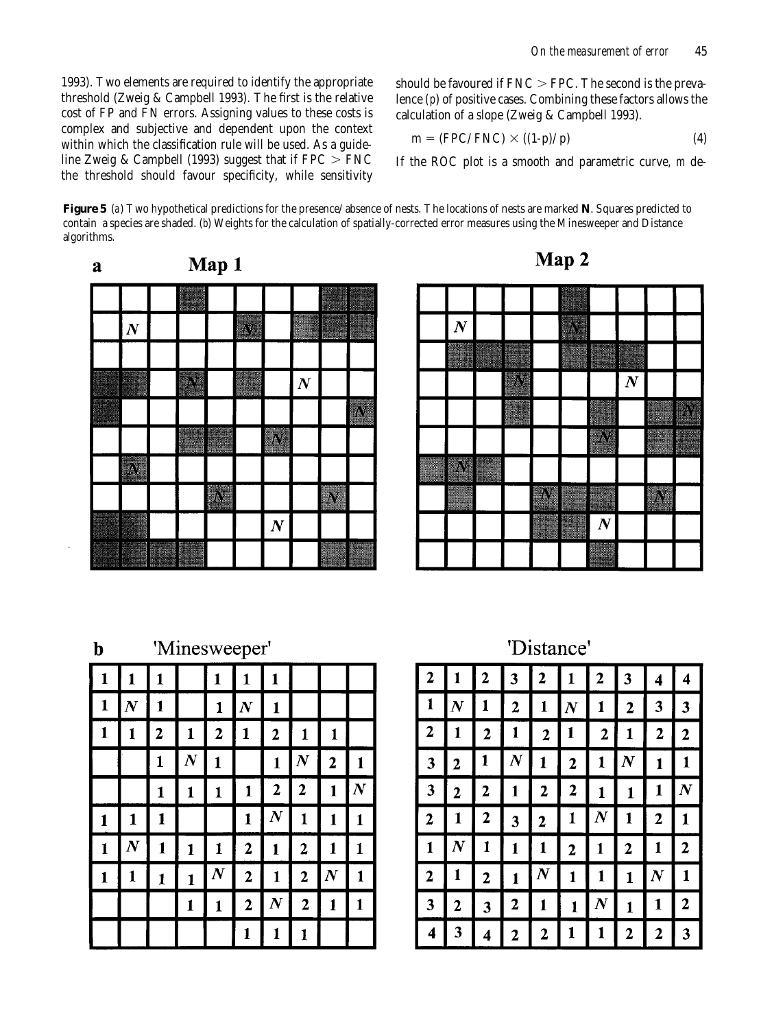1993). Two elements are required to identify the appropriate threshold (Zweig & Campbell 1993). The first is the relative cost of FP and FN errors. Assigning values to these costs is complex and subjective and dependent upon the context within which the classification rule will be used. As a guideline Zweig & Campbell (1993) suggest that if  $FPC > FNC$ the threshold should favour specificity, while sensitivity

 $\blacksquare$ 

should be favoured if  $FNC > FPC$ . The second is the prevalence (*p*) of positive cases. Combining these factors allows the calculation of a slope (Zweig & Campbell 1993).

$$
m = (FPC/FNC) \times ((1-p)/p) \tag{4}
$$

Map 2

If the ROC plot is a smooth and parametric curve, *m* de-

**Figure 5** (*a*) Two hypothetical predictions for the presence/absence of nests. The locations of nests are marked **N**. Squares predicted to contain a species are shaded. (*b*) Weights for the calculation of spatially-corrected error measures using the Minesweeper and Distance algorithms.

| a           |                          |  | <b>Map 1</b> |           |                  |  |
|-------------|--------------------------|--|--------------|-----------|------------------|--|
|             |                          |  |              |           |                  |  |
|             | $\boldsymbol{N}$         |  |              |           |                  |  |
|             |                          |  |              |           |                  |  |
|             | i.<br><b>Televisit</b> e |  |              |           | $\boldsymbol{N}$ |  |
| 200222<br>m |                          |  |              |           |                  |  |
|             |                          |  |              |           |                  |  |
|             |                          |  |              |           |                  |  |
|             |                          |  | ುತಿದರ        |           |                  |  |
|             |                          |  |              | $\bar{N}$ |                  |  |
|             | m                        |  |              |           |                  |  |

|              |                              |            |   | <b>SOURCE</b> |                         |    |        |
|--------------|------------------------------|------------|---|---------------|-------------------------|----|--------|
|              |                              |            |   | 85355         |                         |    |        |
| 350<br>en li | 2020202<br>4,<br>een (       | <u>hen</u> |   |               | <u>mann</u><br>20<br>w. |    |        |
|              |                              |            |   |               |                         |    |        |
|              |                              |            |   |               | 20000                   |    |        |
|              |                              |            |   |               |                         | M. | W<br>羉 |
| ë            | ,,,,,,,,<br><u> Maria II</u> |            |   |               |                         |    |        |
| W            |                              |            |   | e             | 686.58                  |    |        |
|              |                              |            | Ø | التناز<br>w.  |                         |    |        |
|              |                              |            |   |               |                         |    |        |

| 'Minesweeper' |
|---------------|
|---------------|

| 1            | 1                | $\mathbf{1}$   |                     | $\mathbf{1}$     | $\mathbf{1}$                     | 1                                      |                         |                     |                     |
|--------------|------------------|----------------|---------------------|------------------|----------------------------------|----------------------------------------|-------------------------|---------------------|---------------------|
| 1            | $\bm N$          | $\mathbf{1}$   |                     | $\frac{1}{\tau}$ | $\bm{N}$                         | $\mathbf{1}$                           |                         |                     |                     |
| $\mathbf{1}$ | $\mathbf{1}$     | $\overline{2}$ | $\mathbf{1}$        | 2 <sub>1</sub>   | $\vert 1 \vert$                  | 2 <sub>1</sub>                         | $\mathbf{1}$            | 1                   |                     |
|              |                  | $\mathbf{1}$   | $\lfloor N \rfloor$ | $\vert 1 \vert$  | $\begin{array}{ccc} \end{array}$ |                                        | 1 N                     | $\mathbf{1}$ 2      | $\vert$ 1           |
|              |                  | $\mathbf{1}$   | $\mathbf{1}$        | $\mathbf{1}$     | $\vert$ 1                        | $\begin{array}{c} \n 2 \n \end{array}$ | $\overline{\mathbf{2}}$ | $\mathbf{1}$        | $\overline{\bm{N}}$ |
|              |                  |                |                     |                  |                                  |                                        |                         |                     |                     |
| 1            | $\mathbf{1}$     | $\mathbf{1}$   |                     |                  | $\mathbf{1}$                     | $\bm{N}$                               | $\mathbf{1}$            | $\mathbf{1}$        | $\mathbf{1}$        |
| $\mathbf{1}$ | $\boldsymbol{N}$ | $\mathbf{1}$   | $\mathbf{1}$        | $\mathbf{1}$     | $2112$                           |                                        |                         | $\mathbf{I}$        | $\mathbf{1}$        |
| 1            | 1                | $\mathbf{1}$   | $\mathbf{1}$        | $\boldsymbol{N}$ | $2112$                           |                                        |                         | $\lfloor N \rfloor$ | $\vert$ 1           |
|              |                  |                | $\mathbf{1}$        | $\mathbf{1}$     | $\mathbf{2}$                     | $N \mid$                               | $\overline{2}$          | $\mathbf{1}$        | $\mathbf{1}$        |

'Distance'

|  | 2   1   2   3   2   1   2   3   4   4                              |  |  |  |  |
|--|--------------------------------------------------------------------|--|--|--|--|
|  | $1 \mid N \mid 1 \mid 2 \mid 1 \mid N \mid 1 \mid 2 \mid 3 \mid 3$ |  |  |  |  |
|  | $2$   1   2   1   2   1   2   1   2   2                            |  |  |  |  |
|  | $3 \mid 2 \mid 1 \mid N \mid 1 \mid 2 \mid 1 \mid N \mid 1 \mid 1$ |  |  |  |  |
|  | $3 \mid 2 \mid 2 \mid 1 \mid 2 \mid 2 \mid 1 \mid 1 \mid N$        |  |  |  |  |
|  | $2$   1   2   3   2   1   N   1   2   1                            |  |  |  |  |
|  | $1 \mid N \mid 1 \mid 1 \mid 1 \mid 2 \mid 1 \mid 2 \mid 1 \mid 2$ |  |  |  |  |
|  | 2   1   2   1   $N$   1   1   1   $N$   1                          |  |  |  |  |
|  | $3 \mid 2 \mid 3 \mid 2 \mid 1 \mid 1 \mid N \mid 1 \mid 1 \mid 2$ |  |  |  |  |
|  | $3   4   2   2   1   1   2   2   3$                                |  |  |  |  |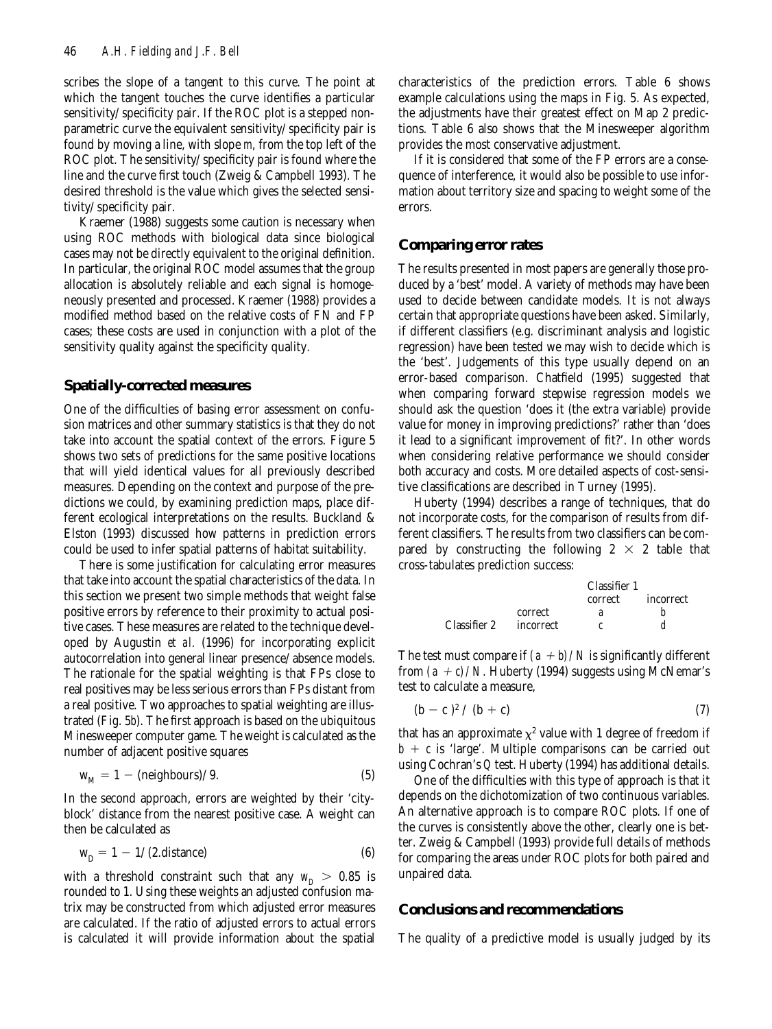scribes the slope of a tangent to this curve. The point at which the tangent touches the curve identifies a particular sensitivity/specificity pair. If the ROC plot is a stepped nonparametric curve the equivalent sensitivity/specificity pair is found by moving a line, with slope *m*, from the top left of the ROC plot. The sensitivity/specificity pair is found where the line and the curve first touch (Zweig & Campbell 1993). The desired threshold is the value which gives the selected sensitivity/specificity pair.

Kraemer (1988) suggests some caution is necessary when using ROC methods with biological data since biological cases may not be directly equivalent to the original definition. In particular, the original ROC model assumes that the group allocation is absolutely reliable and each signal is homogeneously presented and processed. Kraemer (1988) provides a modified method based on the relative costs of FN and FP cases; these costs are used in conjunction with a plot of the sensitivity quality against the specificity quality.

#### **Spatially-corrected measures**

One of the difficulties of basing error assessment on confusion matrices and other summary statistics is that they do not take into account the spatial context of the errors. Figure 5 shows two sets of predictions for the same positive locations that will yield identical values for all previously described measures. Depending on the context and purpose of the predictions we could, by examining prediction maps, place different ecological interpretations on the results. Buckland & Elston (1993) discussed how patterns in prediction errors could be used to infer spatial patterns of habitat suitability.

There is some justification for calculating error measures that take into account the spatial characteristics of the data. In this section we present two simple methods that weight false positive errors by reference to their proximity to actual positive cases. These measures are related to the technique developed by Augustin *et al.* (1996) for incorporating explicit autocorrelation into general linear presence/absence models. The rationale for the spatial weighting is that FPs close to real positives may be less serious errors than FPs distant from a real positive. Two approaches to spatial weighting are illustrated (Fig. 5*b*). The first approach is based on the ubiquitous Minesweeper computer game. The weight is calculated as the number of adjacent positive squares

$$
w_M = 1 - (neighbours)/9.
$$
 (5)

In the second approach, errors are weighted by their 'cityblock' distance from the nearest positive case. A weight can then be calculated as

$$
w_D = 1 - 1/(2 \text{.distance}) \tag{6}
$$

with a threshold constraint such that any  $w_D > 0.85$  is rounded to 1. Using these weights an adjusted confusion matrix may be constructed from which adjusted error measures are calculated. If the ratio of adjusted errors to actual errors is calculated it will provide information about the spatial characteristics of the prediction errors. Table 6 shows example calculations using the maps in Fig. 5. As expected, the adjustments have their greatest effect on Map 2 predictions. Table 6 also shows that the Minesweeper algorithm provides the most conservative adjustment.

If it is considered that some of the FP errors are a consequence of interference, it would also be possible to use information about territory size and spacing to weight some of the errors.

#### **Comparing error rates**

The results presented in most papers are generally those produced by a 'best' model. A variety of methods may have been used to decide between candidate models. It is not always certain that appropriate questions have been asked. Similarly, if different classifiers (e.g. discriminant analysis and logistic regression) have been tested we may wish to decide which is the 'best'. Judgements of this type usually depend on an error-based comparison. Chatfield (1995) suggested that when comparing forward stepwise regression models we should ask the question 'does it (the extra variable) provide value for money in improving predictions?' rather than 'does it lead to a significant improvement of fit?'. In other words when considering relative performance we should consider both accuracy and costs. More detailed aspects of cost-sensitive classifications are described in Turney (1995).

Huberty (1994) describes a range of techniques, that do not incorporate costs, for the comparison of results from different classifiers. The results from two classifiers can be compared by constructing the following  $2 \times 2$  table that cross-tabulates prediction success:

|              |           | Classifier 1 |           |
|--------------|-----------|--------------|-----------|
|              |           | correct      | incorrect |
|              | correct   | а            |           |
| Classifier 2 | incorrect |              |           |

The test must compare if  $(a + b)$ /N is significantly different from  $(a + c)/N$ . Huberty (1994) suggests using McNemar's test to calculate a measure,

$$
(b - c)^2 / (b + c) \tag{7}
$$

that has an approximate  $\chi^2$  value with 1 degree of freedom if  $b + c$  is 'large'. Multiple comparisons can be carried out using Cochran's *Q* test. Huberty (1994) has additional details.

One of the difficulties with this type of approach is that it depends on the dichotomization of two continuous variables. An alternative approach is to compare ROC plots. If one of the curves is consistently above the other, clearly one is better. Zweig & Campbell (1993) provide full details of methods for comparing the areas under ROC plots for both paired and unpaired data.

#### **Conclusions and recommendations**

The quality of a predictive model is usually judged by its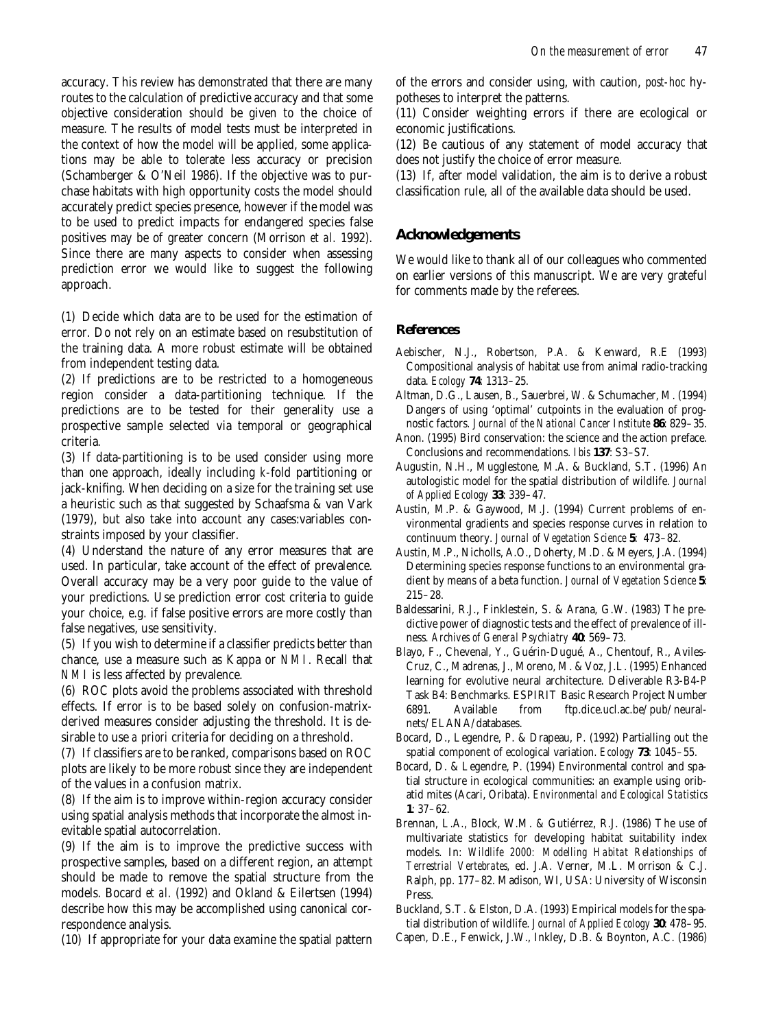accuracy. This review has demonstrated that there are many routes to the calculation of predictive accuracy and that some objective consideration should be given to the choice of measure. The results of model tests must be interpreted in the context of how the model will be applied, some applications may be able to tolerate less accuracy or precision (Schamberger & O'Neil 1986). If the objective was to purchase habitats with high opportunity costs the model should accurately predict species presence, however if the model was to be used to predict impacts for endangered species false positives may be of greater concern (Morrison *et al.* 1992). Since there are many aspects to consider when assessing prediction error we would like to suggest the following approach.

(1) Decide which data are to be used for the estimation of error. Do not rely on an estimate based on resubstitution of the training data. A more robust estimate will be obtained from independent testing data.

(2) If predictions are to be restricted to a homogeneous region consider a data-partitioning technique. If the predictions are to be tested for their generality use a prospective sample selected via temporal or geographical criteria.

(3) If data-partitioning is to be used consider using more than one approach, ideally including *k*-fold partitioning or jack-knifing. When deciding on a size for the training set use a heuristic such as that suggested by Schaafsma & van Vark (1979), but also take into account any cases:variables constraints imposed by your classifier.

(4) Understand the nature of any error measures that are used. In particular, take account of the effect of prevalence. Overall accuracy may be a very poor guide to the value of your predictions. Use prediction error cost criteria to guide your choice, e.g. if false positive errors are more costly than false negatives, use sensitivity.

(5) If you wish to determine if a classifier predicts better than chance, use a measure such as Kappa or *NMI*. Recall that *NMI* is less affected by prevalence.

(6) ROC plots avoid the problems associated with threshold effects. If error is to be based solely on confusion-matrixderived measures consider adjusting the threshold. It is desirable to use *a priori* criteria for deciding on a threshold.

(7) If classifiers are to be ranked, comparisons based on ROC plots are likely to be more robust since they are independent of the values in a confusion matrix.

(8) If the aim is to improve within-region accuracy consider using spatial analysis methods that incorporate the almost inevitable spatial autocorrelation.

(9) If the aim is to improve the predictive success with prospective samples, based on a different region, an attempt should be made to remove the spatial structure from the models. Bocard *et al.* (1992) and Okland & Eilertsen (1994) describe how this may be accomplished using canonical correspondence analysis.

(10) If appropriate for your data examine the spatial pattern

of the errors and consider using, with caution, *post-hoc* hypotheses to interpret the patterns.

(11) Consider weighting errors if there are ecological or economic justifications.

(12) Be cautious of any statement of model accuracy that does not justify the choice of error measure.

(13) If, after model validation, the aim is to derive a robust classification rule, all of the available data should be used.

# **Acknowledgements**

We would like to thank all of our colleagues who commented on earlier versions of this manuscript. We are very grateful for comments made by the referees.

# **References**

- Aebischer, N.J., Robertson, P.A. & Kenward, R.E (1993) Compositional analysis of habitat use from animal radio-tracking data. *Ecology* **74**: 1313–25.
- Altman, D.G., Lausen, B., Sauerbrei, W. & Schumacher, M. (1994) Dangers of using 'optimal' cutpoints in the evaluation of prognostic factors*. Journal of the National Cancer Institute* **86**: 829–35.
- Anon. (1995) Bird conservation: the science and the action preface. Conclusions and recommendations. *Ibis* **137**: S3–S7.
- Augustin, N.H., Mugglestone, M.A. & Buckland, S.T. (1996) An autologistic model for the spatial distribution of wildlife. *Journal of Applied Ecology* **33**: 339–47.
- Austin, M.P. & Gaywood, M.J. (1994) Current problems of environmental gradients and species response curves in relation to continuum theory. *Journal of Vegetation Science* **5**: 473–82.
- Austin, M.P., Nicholls, A.O., Doherty, M.D. & Meyers, J.A. (1994) Determining species response functions to an environmental gradient by means of a beta function. *Journal of Vegetation Science* **5**: 215–28.
- Baldessarini, R.J., Finklestein, S. & Arana, G.W. (1983) The predictive power of diagnostic tests and the effect of prevalence of illness*. Archives of General Psychiatry* **40**: 569–73.
- Blayo, F., Chevenal, Y., Guérin-Dugué, A., Chentouf, R., Aviles-Cruz, C., Madrenas, J., Moreno, M. & Voz, J.L. (1995) Enhanced learning for evolutive neural architecture. Deliverable R3-B4-P Task B4: Benchmarks. ESPIRIT Basic Research Project Number 6891*.* Available from ftp.dice.ucl.ac.be/pub/neuralnets/ELANA/databases.
- Bocard, D., Legendre, P. & Drapeau, P. (1992) Partialling out the spatial component of ecological variation. *Ecology* **73**: 1045–55.
- Bocard, D. & Legendre, P. (1994) Environmental control and spatial structure in ecological communities: an example using oribatid mites (Acari, Oribata). *Environmental and Ecological Statistics* **1**: 37–62.
- Brennan, L.A., Block, W.M. & Gutiérrez, R.J. (1986) The use of multivariate statistics for developing habitat suitability index models. In: *Wildlife 2000: Modelling Habitat Relationships of Terrestrial Vertebrates,* ed. J.A. Verner, M.L. Morrison & C.J. Ralph, pp. 177–82. Madison, WI, USA: University of Wisconsin **Press**
- Buckland, S.T. & Elston, D.A. (1993) Empirical models for the spatial distribution of wildlife. *Journal of Applied Ecology* **30**: 478–95.
- Capen, D.E., Fenwick, J.W., Inkley, D.B. & Boynton, A.C. (1986)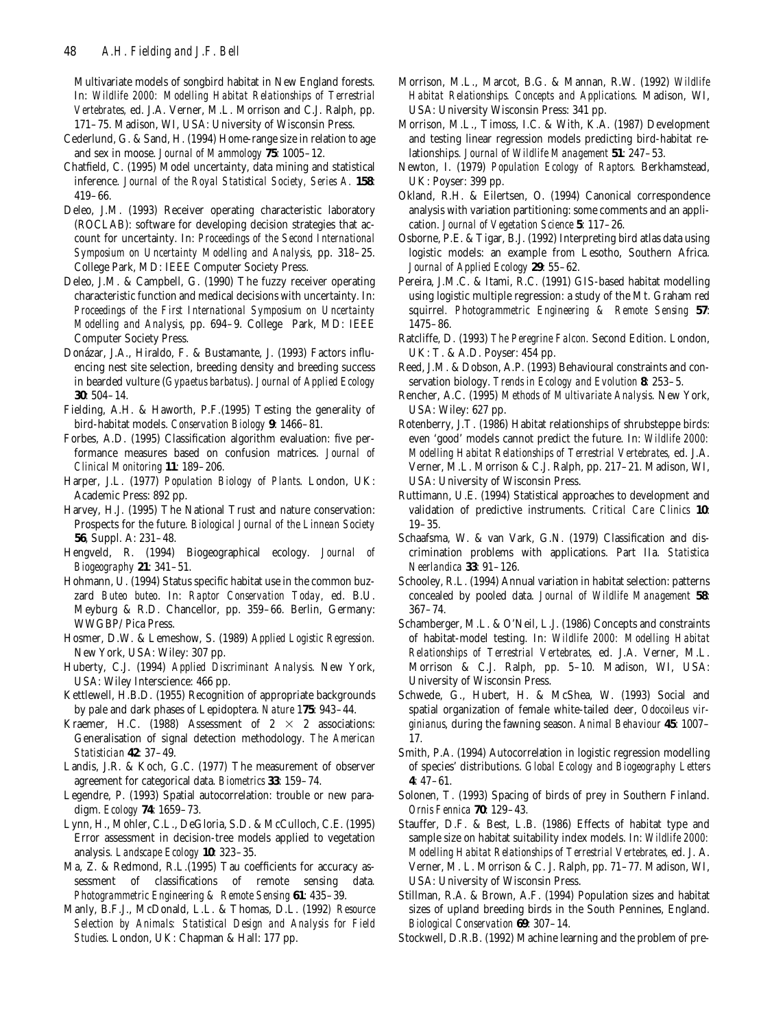Multivariate models of songbird habitat in New England forests. In: *Wildlife 2000: Modelling Habitat Relationships of Terrestrial Vertebrates,* ed. J.A. Verner, M.L. Morrison and C.J. Ralph, pp. 171–75. Madison, WI, USA: University of Wisconsin Press.

- Cederlund, G. & Sand, H. (1994) Home-range size in relation to age and sex in moose. *Journal of Mammology* **75**: 1005–12.
- Chatfield, C. (1995) Model uncertainty, data mining and statistical inference. *Journal of the Royal Statistical Society, Series A.* **158**: 419–66.
- Deleo, J.M. (1993) Receiver operating characteristic laboratory (ROCLAB): software for developing decision strategies that account for uncertainty. In: *Proceedings of the Second International Symposium on Uncertainty Modelling and Analysis*, pp. 318–25. College Park, MD: IEEE Computer Society Press.
- Deleo, J.M. & Campbell, G. (1990) The fuzzy receiver operating characteristic function and medical decisions with uncertainty. In: *Proceedings of the First International Symposium on Uncertainty Modelling and Analysis*, pp. 694–9. College Park, MD: IEEE Computer Society Press.
- Donázar, J.A., Hiraldo, F. & Bustamante, J. (1993) Factors influencing nest site selection, breeding density and breeding success in bearded vulture (*Gypaetus barbatus*). *Journal of Applied Ecology* **30**: 504–14.
- Fielding, A.H. & Haworth, P.F.(1995) Testing the generality of bird-habitat models. *Conservation Biology* **9**: 1466–81.
- Forbes, A.D. (1995) Classification algorithm evaluation: five performance measures based on confusion matrices. *Journal of Clinical Monitoring* **11**: 189–206.
- Harper, J.L. (1977) *Population Biology of Plants*. London, UK: Academic Press: 892 pp.
- Harvey, H.J. (1995) The National Trust and nature conservation: Prospects for the future. *Biological Journal of the Linnean Society* **56**, Suppl. A: 231–48.
- Hengveld, R. (1994) Biogeographical ecology. *Journal of Biogeography* **21**: 341–51.
- Hohmann, U. (1994) Status specific habitat use in the common buzzard *Buteo buteo*. In: *Raptor Conservation Today,* ed. B.U. Meyburg & R.D. Chancellor, pp. 359–66. Berlin, Germany: WWGBP/Pica Press.
- Hosmer, D.W. & Lemeshow, S. (1989) *Applied Logistic Regression.* New York, USA: Wiley: 307 pp.
- Huberty, C.J. (1994) *Applied Discriminant Analysis*. New York, USA: Wiley Interscience: 466 pp.
- Kettlewell, H.B.D. (1955) Recognition of appropriate backgrounds by pale and dark phases of Lepidoptera. *Nature* 1**75**: 943–44.
- Kraemer, H.C. (1988) Assessment of  $2 \times 2$  associations: Generalisation of signal detection methodology. *The American Statistician* **42**: 37–49.
- Landis, J.R. & Koch, G.C. (1977) The measurement of observer agreement for categorical data. *Biometrics* **33**: 159–74.
- Legendre, P. (1993) Spatial autocorrelation: trouble or new paradigm. *Ecology* **74**: 1659–73.
- Lynn, H., Mohler, C.L., DeGloria, S.D. & McCulloch, C.E. (1995) Error assessment in decision-tree models applied to vegetation analysis*. Landscape Ecology* **10**: 323–35.
- Ma, Z. & Redmond, R.L.(1995) Tau coefficients for accuracy assessment of classifications of remote sensing data*. Photogrammetric Engineering & Remote Sensing* **61**: 435–39.
- Manly, B.F.J., McDonald, L.L. & Thomas, D.L. (1992*) Resource Selection by Animals: Statistical Design and Analysis for Field Studies*. London, UK: Chapman & Hall: 177 pp.
- Morrison, M.L., Marcot, B.G. & Mannan, R.W. (1992) *Wildlife Habitat Relationships. Concepts and Applications*. Madison, WI, USA: University Wisconsin Press: 341 pp.
- Morrison, M.L., Timoss, I.C. & With, K.A. (1987) Development and testing linear regression models predicting bird-habitat relationships*. Journal of Wildlife Management* **51**: 247–53.
- Newton, I. (1979) *Population Ecology of Raptors.* Berkhamstead, UK: Poyser: 399 pp.
- Okland, R.H. & Eilertsen, O. (1994) Canonical correspondence analysis with variation partitioning: some comments and an application. *Journal of Vegetation Science* **5**: 117–26.
- Osborne, P.E. & Tigar, B.J. (1992) Interpreting bird atlas data using logistic models: an example from Lesotho, Southern Africa. *Journal of Applied Ecology* **29**: 55–62.
- Pereira, J.M.C. & Itami, R.C. (1991) GIS-based habitat modelling using logistic multiple regression: a study of the Mt. Graham red squirrel*. Photogrammetric Engineering & Remote Sensing* **57**: 1475–86.
- Ratcliffe, D. (1993) *The Peregrine Falcon.* Second Edition. London, UK: T. & A.D. Poyser: 454 pp.
- Reed, J.M. & Dobson, A.P. (1993) Behavioural constraints and conservation biology. *Trends in Ecology and Evolution* **8**: 253–5.
- Rencher, A.C. (1995) *Methods of Multivariate Analysis*. New York, USA: Wiley: 627 pp.
- Rotenberry, J.T. (1986) Habitat relationships of shrubsteppe birds: even 'good' models cannot predict the future. In: *Wildlife 2000: Modelling Habitat Relationships of Terrestrial Vertebrates,* ed. J.A. Verner, M.L. Morrison & C.J. Ralph, pp. 217–21. Madison, WI, USA: University of Wisconsin Press.
- Ruttimann, U.E. (1994) Statistical approaches to development and validation of predictive instruments. *Critical Care Clinics* **10**: 19–35.
- Schaafsma, W. & van Vark, G.N. (1979) Classification and discrimination problems with applications. Part IIa. *Statistica Neerlandica* **33**: 91–126.
- Schooley, R.L. (1994) Annual variation in habitat selection: patterns concealed by pooled data. *Journal of Wildlife Management* **58**: 367–74.
- Schamberger, M.L. & O'Neil, L.J. (1986) Concepts and constraints of habitat-model testing. In: *Wildlife 2000: Modelling Habitat Relationships of Terrestrial Vertebrates,* ed. J.A. Verner, M.L. Morrison & C.J. Ralph, pp. 5–10. Madison, WI, USA: University of Wisconsin Press.
- Schwede, G., Hubert, H. & McShea, W. (1993) Social and spatial organization of female white-tailed deer, *Odocoileus virginianus*, during the fawning season. *Animal Behaviour* **45**: 1007– 17.
- Smith, P.A. (1994) Autocorrelation in logistic regression modelling of species' distributions. *Global Ecology and Biogeography Letters* **4**: 47–61.
- Solonen, T. (1993) Spacing of birds of prey in Southern Finland. *Ornis Fennica* **70**: 129–43.
- Stauffer, D.F. & Best, L.B. (1986) Effects of habitat type and sample size on habitat suitability index models. In: *Wildlife 2000: Modelling Habitat Relationships of Terrestrial Vertebrates,* ed. J. A. Verner, M. L. Morrison & C. J. Ralph, pp. 71–77. Madison, WI, USA: University of Wisconsin Press.
- Stillman, R.A. & Brown, A.F. (1994) Population sizes and habitat sizes of upland breeding birds in the South Pennines, England. *Biological Conservation* **69**: 307–14.
- Stockwell, D.R.B. (1992) Machine learning and the problem of pre-